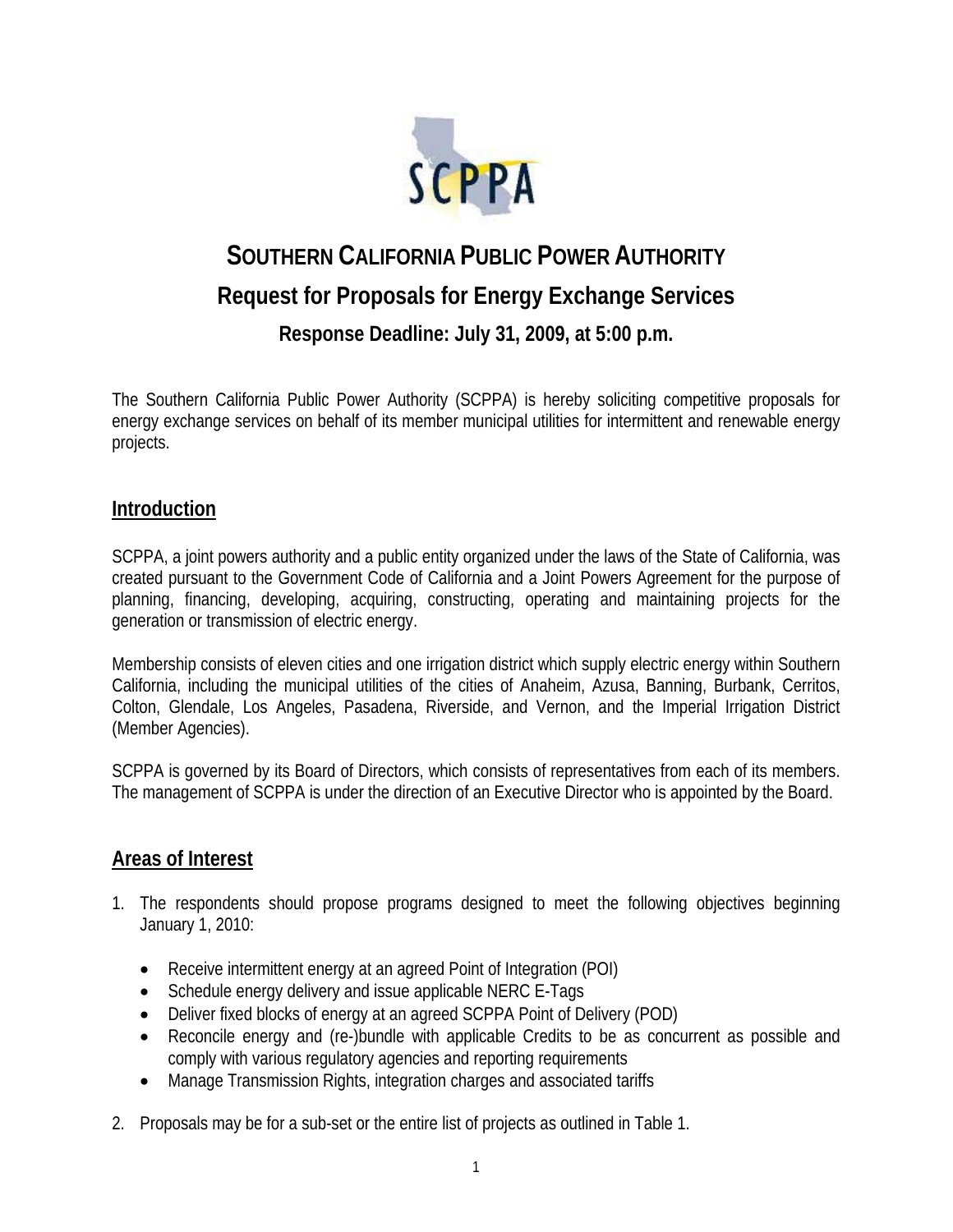

# **SOUTHERN CALIFORNIA PUBLIC POWER AUTHORITY Request for Proposals for Energy Exchange Services Response Deadline: July 31, 2009, at 5:00 p.m.**

The Southern California Public Power Authority (SCPPA) is hereby soliciting competitive proposals for energy exchange services on behalf of its member municipal utilities for intermittent and renewable energy projects.

### **Introduction**

SCPPA, a joint powers authority and a public entity organized under the laws of the State of California, was created pursuant to the Government Code of California and a Joint Powers Agreement for the purpose of planning, financing, developing, acquiring, constructing, operating and maintaining projects for the generation or transmission of electric energy.

Membership consists of eleven cities and one irrigation district which supply electric energy within Southern California, including the municipal utilities of the cities of Anaheim, Azusa, Banning, Burbank, Cerritos, Colton, Glendale, Los Angeles, Pasadena, Riverside, and Vernon, and the Imperial Irrigation District (Member Agencies).

SCPPA is governed by its Board of Directors, which consists of representatives from each of its members. The management of SCPPA is under the direction of an Executive Director who is appointed by the Board.

### **Areas of Interest**

- 1. The respondents should propose programs designed to meet the following objectives beginning January 1, 2010:
	- Receive intermittent energy at an agreed Point of Integration (POI)
	- Schedule energy delivery and issue applicable NERC E-Tags
	- Deliver fixed blocks of energy at an agreed SCPPA Point of Delivery (POD)
	- Reconcile energy and (re-)bundle with applicable Credits to be as concurrent as possible and comply with various regulatory agencies and reporting requirements
	- Manage Transmission Rights, integration charges and associated tariffs
- 2. Proposals may be for a sub-set or the entire list of projects as outlined in Table 1.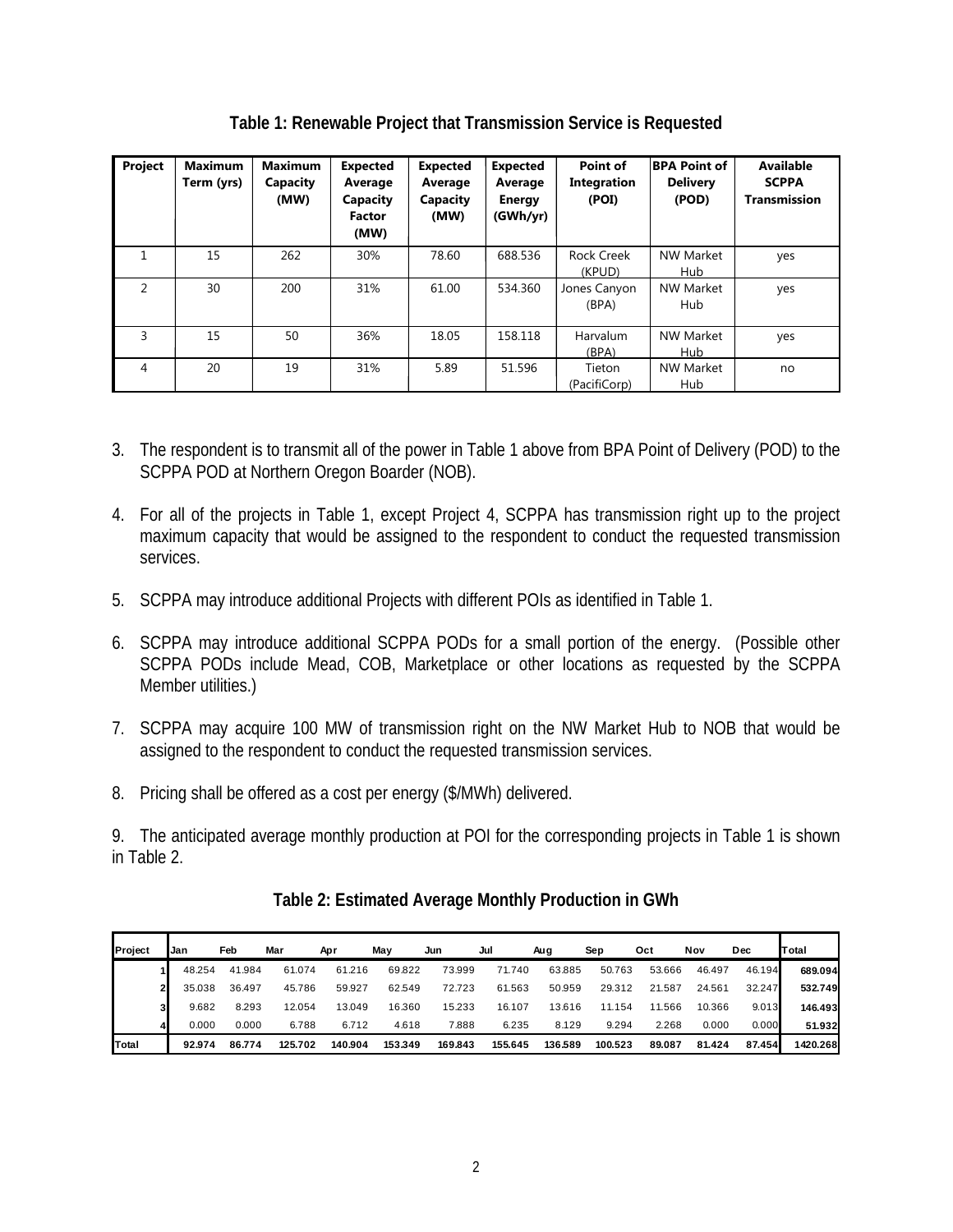| Project        | <b>Maximum</b><br>Term (yrs) | <b>Maximum</b><br>Capacity<br>(MW) | <b>Expected</b><br>Average<br>Capacity<br><b>Factor</b><br>(MW) | <b>Expected</b><br>Average<br>Capacity<br>(MW) | <b>Expected</b><br>Average<br><b>Energy</b><br>(GWh/yr) | Point of<br>Integration<br>(POI) | <b>BPA Point of</b><br><b>Delivery</b><br>(POD) | <b>Available</b><br><b>SCPPA</b><br><b>Transmission</b> |  |
|----------------|------------------------------|------------------------------------|-----------------------------------------------------------------|------------------------------------------------|---------------------------------------------------------|----------------------------------|-------------------------------------------------|---------------------------------------------------------|--|
|                | 15                           | 262                                | 30%                                                             | 78.60                                          | 688.536                                                 | <b>Rock Creek</b><br>(KPUD)      | <b>NW Market</b><br>Hub                         | yes                                                     |  |
| $\mathfrak{p}$ | 30                           | 200                                | 31%                                                             | 61.00                                          | 534.360                                                 | Jones Canyon<br>(BPA)            | <b>NW Market</b><br>Hub                         | yes                                                     |  |
| 3              | 15                           | 50                                 | 36%                                                             | 18.05                                          | 158.118                                                 | <b>Harvalum</b><br>(BPA)         | <b>NW Market</b><br>Hub                         | yes                                                     |  |
| 4              | 20                           | 19                                 | 31%                                                             | 5.89                                           | 51.596                                                  | Tieton<br>(PacifiCorp)           | <b>NW Market</b><br>Hub                         | no                                                      |  |

**Table 1: Renewable Project that Transmission Service is Requested** 

- 3. The respondent is to transmit all of the power in Table 1 above from BPA Point of Delivery (POD) to the SCPPA POD at Northern Oregon Boarder (NOB).
- 4. For all of the projects in Table 1, except Project 4, SCPPA has transmission right up to the project maximum capacity that would be assigned to the respondent to conduct the requested transmission services.
- 5. SCPPA may introduce additional Projects with different POIs as identified in Table 1.
- 6. SCPPA may introduce additional SCPPA PODs for a small portion of the energy. (Possible other SCPPA PODs include Mead, COB, Marketplace or other locations as requested by the SCPPA Member utilities.)
- 7. SCPPA may acquire 100 MW of transmission right on the NW Market Hub to NOB that would be assigned to the respondent to conduct the requested transmission services.
- 8. Pricing shall be offered as a cost per energy (\$/MWh) delivered.

9. The anticipated average monthly production at POI for the corresponding projects in Table 1 is shown in Table 2.

| <b>IProject</b> | Jan |        | Feb    | Mar     | Apr     | May     | Jun     | Jul     | Aug     | Sep     | Oct    | Nov    | Dec    | Total    |
|-----------------|-----|--------|--------|---------|---------|---------|---------|---------|---------|---------|--------|--------|--------|----------|
|                 |     | 48.254 | 41.984 | 61.074  | 61.216  | 69.822  | 73.999  | 71.740  | 63.885  | 50.763  | 53.666 | 46.497 | 46.194 | 689.094  |
| 21              |     | 35.038 | 36.497 | 45.786  | 59.927  | 62.549  | 72.723  | 61.563  | 50.959  | 29.312  | 21.587 | 24.561 | 32.247 | 532.749  |
| 31              |     | 9.682  | 8.293  | 12.054  | 13.049  | 16.360  | 15.233  | 16.107  | 13.616  | 11.154  | 11.566 | 10.366 | 9.013  | 146.493  |
|                 |     | 0.000  | 0.000  | 6.788   | 6.712   | 4.618   | 7.888   | 6.235   | 8.129   | 9.294   | 2.268  | 0.000  | 0.000  | 51.932   |
| Total           |     | 92.974 | 86.774 | 125.702 | 140.904 | 153.349 | 169.843 | 155.645 | 136.589 | 100.523 | 89.087 | 81.424 | 87.454 | 1420.268 |

**Table 2: Estimated Average Monthly Production in GWh**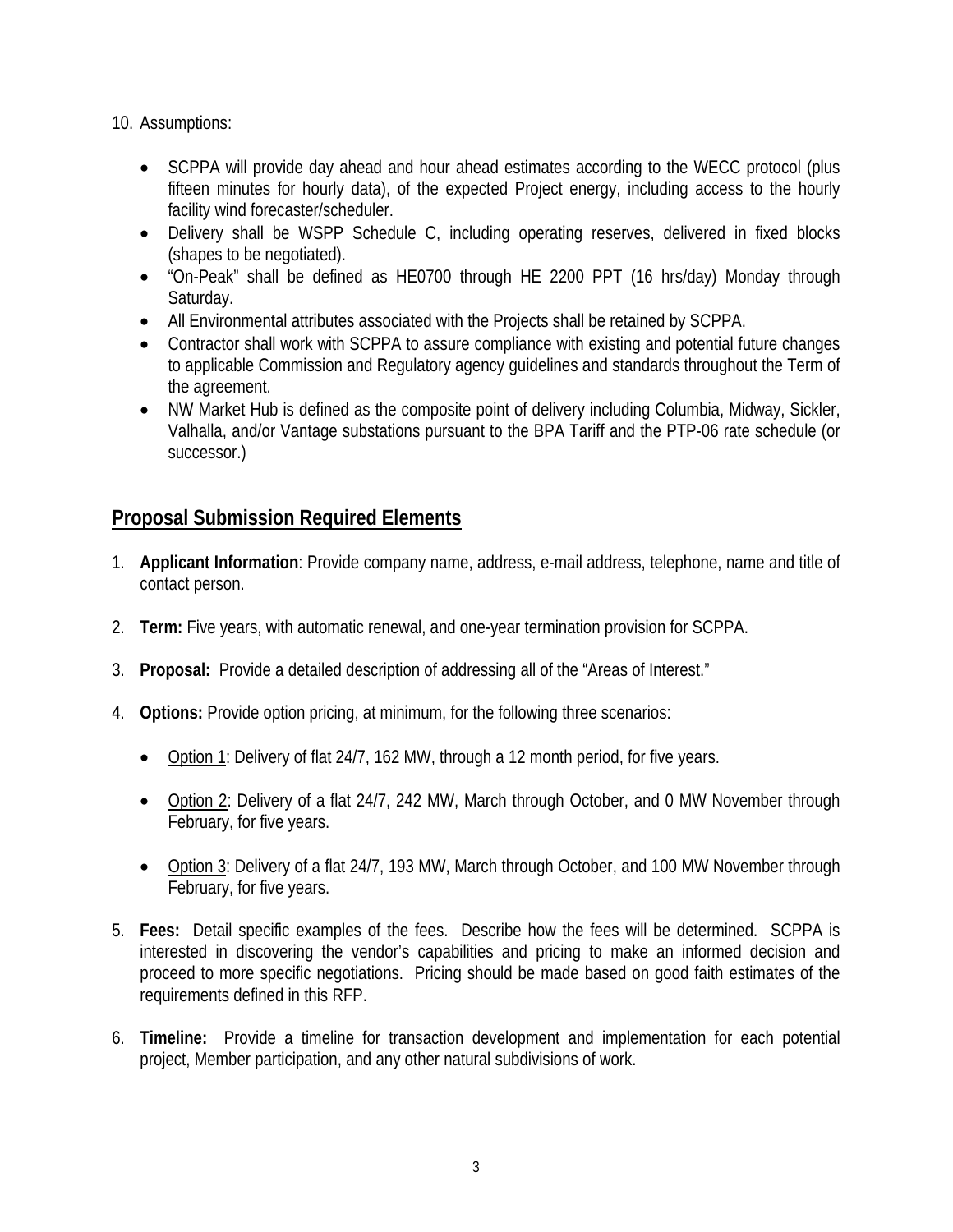10. Assumptions:

- SCPPA will provide day ahead and hour ahead estimates according to the WECC protocol (plus fifteen minutes for hourly data), of the expected Project energy, including access to the hourly facility wind forecaster/scheduler.
- Delivery shall be WSPP Schedule C, including operating reserves, delivered in fixed blocks (shapes to be negotiated).
- "On-Peak" shall be defined as HE0700 through HE 2200 PPT (16 hrs/day) Monday through Saturday.
- All Environmental attributes associated with the Projects shall be retained by SCPPA.
- Contractor shall work with SCPPA to assure compliance with existing and potential future changes to applicable Commission and Regulatory agency guidelines and standards throughout the Term of the agreement.
- NW Market Hub is defined as the composite point of delivery including Columbia, Midway, Sickler, Valhalla, and/or Vantage substations pursuant to the BPA Tariff and the PTP-06 rate schedule (or successor.)

# **Proposal Submission Required Elements**

- 1. **Applicant Information**: Provide company name, address, e-mail address, telephone, name and title of contact person.
- 2. **Term:** Five years, with automatic renewal, and one-year termination provision for SCPPA.
- 3. **Proposal:** Provide a detailed description of addressing all of the "Areas of Interest."
- 4. **Options:** Provide option pricing, at minimum, for the following three scenarios:
	- Option 1: Delivery of flat 24/7, 162 MW, through a 12 month period, for five years.
	- Option 2: Delivery of a flat 24/7, 242 MW, March through October, and 0 MW November through February, for five years.
	- Option 3: Delivery of a flat 24/7, 193 MW, March through October, and 100 MW November through February, for five years.
- 5. **Fees:** Detail specific examples of the fees. Describe how the fees will be determined. SCPPA is interested in discovering the vendor's capabilities and pricing to make an informed decision and proceed to more specific negotiations. Pricing should be made based on good faith estimates of the requirements defined in this RFP.
- 6. **Timeline:** Provide a timeline for transaction development and implementation for each potential project, Member participation, and any other natural subdivisions of work.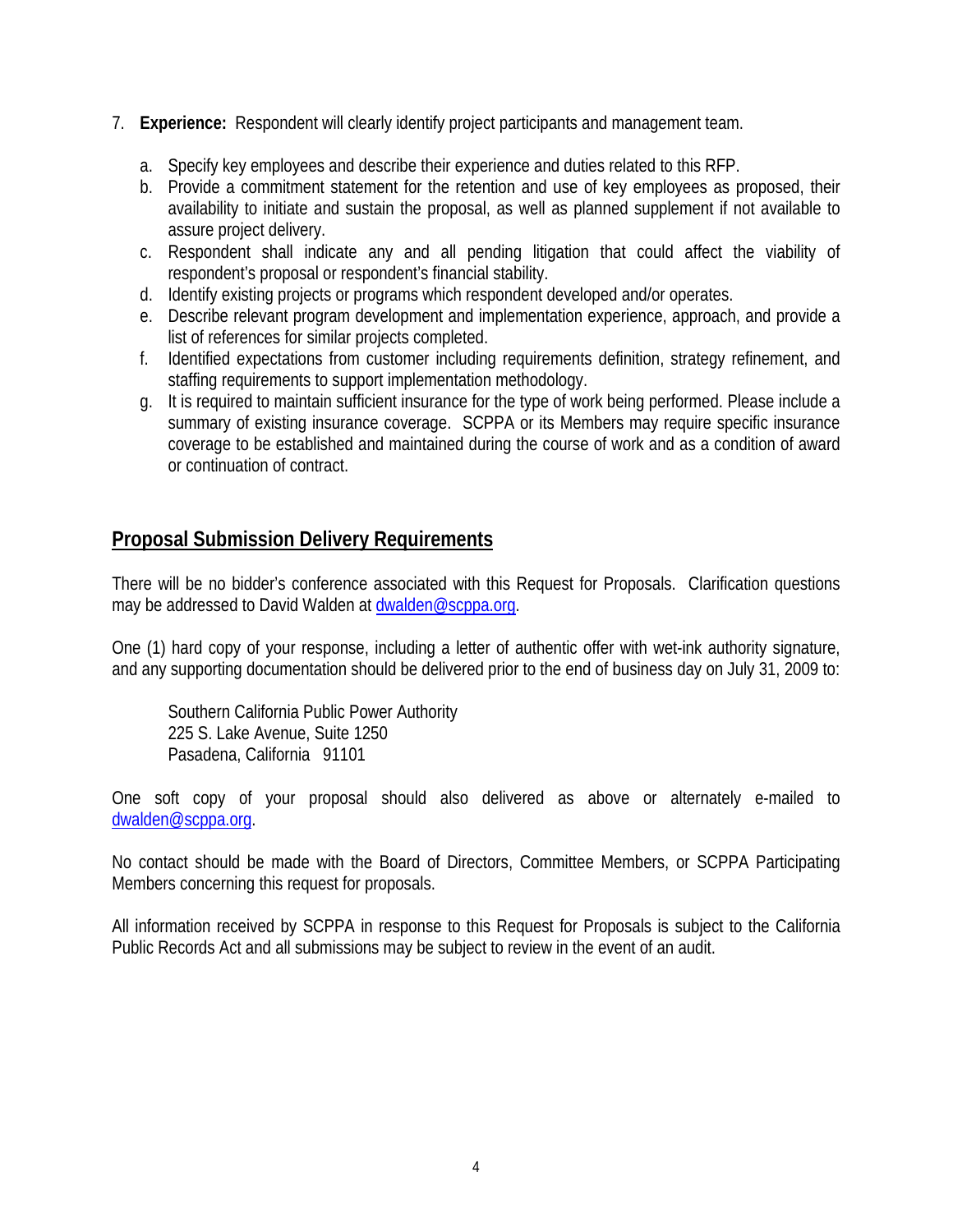- 7. **Experience:** Respondent will clearly identify project participants and management team.
	- a. Specify key employees and describe their experience and duties related to this RFP.
	- b. Provide a commitment statement for the retention and use of key employees as proposed, their availability to initiate and sustain the proposal, as well as planned supplement if not available to assure project delivery.
	- c. Respondent shall indicate any and all pending litigation that could affect the viability of respondent's proposal or respondent's financial stability.
	- d. Identify existing projects or programs which respondent developed and/or operates.
	- e. Describe relevant program development and implementation experience, approach, and provide a list of references for similar projects completed.
	- f. Identified expectations from customer including requirements definition, strategy refinement, and staffing requirements to support implementation methodology.
	- g. It is required to maintain sufficient insurance for the type of work being performed. Please include a summary of existing insurance coverage. SCPPA or its Members may require specific insurance coverage to be established and maintained during the course of work and as a condition of award or continuation of contract.

## **Proposal Submission Delivery Requirements**

There will be no bidder's conference associated with this Request for Proposals. Clarification questions may be addressed to David Walden at dwalden@scppa.org.

One (1) hard copy of your response, including a letter of authentic offer with wet-ink authority signature, and any supporting documentation should be delivered prior to the end of business day on July 31, 2009 to:

Southern California Public Power Authority 225 S. Lake Avenue, Suite 1250 Pasadena, California 91101

One soft copy of your proposal should also delivered as above or alternately e-mailed to dwalden@scppa.org.

No contact should be made with the Board of Directors, Committee Members, or SCPPA Participating Members concerning this request for proposals.

All information received by SCPPA in response to this Request for Proposals is subject to the California Public Records Act and all submissions may be subject to review in the event of an audit.